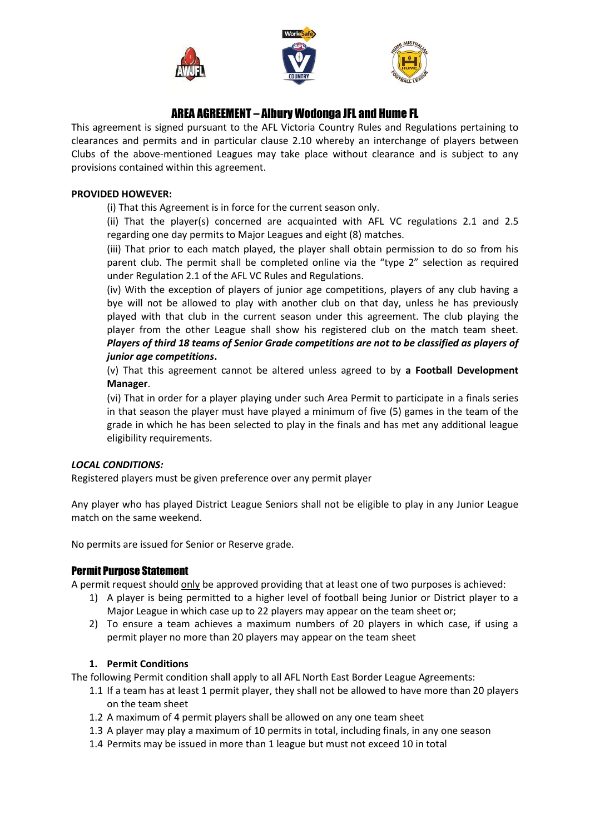

# AREA AGREEMENT – Albury Wodonga JFL and Hume FL

This agreement is signed pursuant to the AFL Victoria Country Rules and Regulations pertaining to clearances and permits and in particular clause 2.10 whereby an interchange of players between Clubs of the above-mentioned Leagues may take place without clearance and is subject to any provisions contained within this agreement.

#### **PROVIDED HOWEVER:**

(i) That this Agreement is in force for the current season only.

(ii) That the player(s) concerned are acquainted with AFL VC regulations 2.1 and 2.5 regarding one day permits to Major Leagues and eight (8) matches.

(iii) That prior to each match played, the player shall obtain permission to do so from his parent club. The permit shall be completed online via the "type 2" selection as required under Regulation 2.1 of the AFL VC Rules and Regulations.

(iv) With the exception of players of junior age competitions, players of any club having a bye will not be allowed to play with another club on that day, unless he has previously played with that club in the current season under this agreement. The club playing the player from the other League shall show his registered club on the match team sheet. *Players of third 18 teams of Senior Grade competitions are not to be classified as players of junior age competitions***.** 

(v) That this agreement cannot be altered unless agreed to by **a Football Development Manager**.

(vi) That in order for a player playing under such Area Permit to participate in a finals series in that season the player must have played a minimum of five (5) games in the team of the grade in which he has been selected to play in the finals and has met any additional league eligibility requirements.

## *LOCAL CONDITIONS:*

Registered players must be given preference over any permit player

Any player who has played District League Seniors shall not be eligible to play in any Junior League match on the same weekend.

No permits are issued for Senior or Reserve grade.

## Permit Purpose Statement

A permit request should only be approved providing that at least one of two purposes is achieved:

- 1) A player is being permitted to a higher level of football being Junior or District player to a Major League in which case up to 22 players may appear on the team sheet or;
- 2) To ensure a team achieves a maximum numbers of 20 players in which case, if using a permit player no more than 20 players may appear on the team sheet

## **1. Permit Conditions**

The following Permit condition shall apply to all AFL North East Border League Agreements:

- 1.1 If a team has at least 1 permit player, they shall not be allowed to have more than 20 players on the team sheet
- 1.2 A maximum of 4 permit players shall be allowed on any one team sheet
- 1.3 A player may play a maximum of 10 permits in total, including finals, in any one season
- 1.4 Permits may be issued in more than 1 league but must not exceed 10 in total